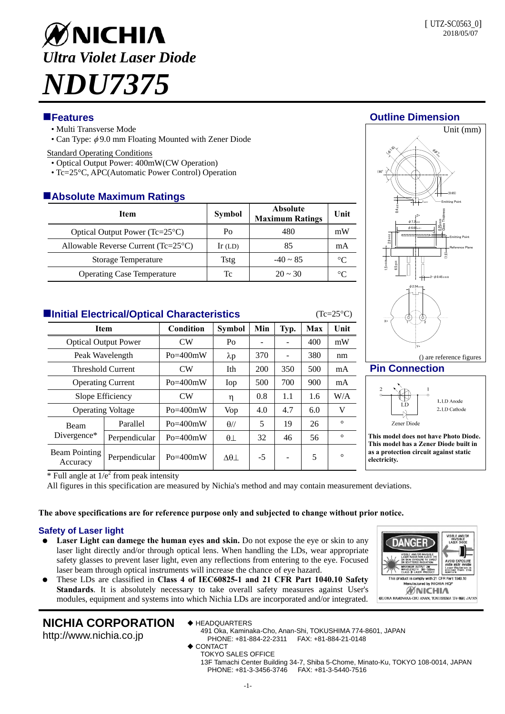# ØNICHIA *Ultra Violet Laser Diode NDU7375*

- Multi Transverse Mode
- Can Type:  $\phi$ 9.0 mm Floating Mounted with Zener Diode

### Standard Operating Conditions

- Optical Output Power: 400mW(CW Operation)
- Tc=25°C, APC(Automatic Power Control) Operation

# **Absolute Maximum Ratings**

| <b>Item</b>                                  | Symbol    | <b>Absolute</b><br><b>Maximum Ratings</b> | Unit      |
|----------------------------------------------|-----------|-------------------------------------------|-----------|
| Optical Output Power $(Tc=25^{\circ}C)$      | Po        | 480                                       | mW        |
| Allowable Reverse Current $(Tc=25^{\circ}C)$ | $Ir$ (LD) | 85                                        | mA        |
| <b>Storage Temperature</b>                   | Tstg      | $-40 \sim 85$                             | $\circ$ C |
| <b>Operating Case Temperature</b>            | Tc        | $20 \sim 30$                              | °∩        |

# **Initial Electrical/Optical Characteristics** (Tc=25°C)

| <b>Item</b>                      |                | Condition    | <b>Symbol</b>  | Min  | Typ. | Max | Unit    |  |  |
|----------------------------------|----------------|--------------|----------------|------|------|-----|---------|--|--|
| <b>Optical Output Power</b>      |                | CW           | Po             |      | ۰    | 400 | mW      |  |  |
| Peak Wavelength                  |                | $Po = 400mW$ | $\lambda p$    | 370  |      | 380 | nm      |  |  |
| <b>Threshold Current</b>         |                | CW           | Ith            | 200  | 350  | 500 | mA      |  |  |
| <b>Operating Current</b>         |                | $Po = 400mW$ | Iop            | 500  | 700  | 900 | mA      |  |  |
| Slope Efficiency                 |                | CW           | η              | 0.8  | 1.1  | 1.6 | W/A     |  |  |
| <b>Operating Voltage</b>         |                | $Po = 400mW$ | <b>Vop</b>     | 4.0  | 4.7  | 6.0 | V       |  |  |
| Beam<br>Divergence*              | Parallel       | $Po = 400mW$ | $\theta$ //    | 5    | 19   | 26  | $\circ$ |  |  |
|                                  | Perpendicular  | $Po = 400mW$ | $\theta\bot$   | 32   | 46   | 56  | $\circ$ |  |  |
| <b>Beam Pointing</b><br>Accuracy | Perpendicular  | $Po = 400mW$ | $\Delta\theta$ | $-5$ | ۰    | 5   | $\circ$ |  |  |
|                                  | $\overline{ }$ |              |                |      |      |     |         |  |  |



# **Pin Connection**

Y+



() are reference figures

**This model does not have Photo Diode. This model has a Zener Diode built in as a protection circuit against static electricity.** 

 $*$  Full angle at  $1/e^2$  from peak intensity

All figures in this specification are measured by Nichia's method and may contain measurement deviations.

# **The above specifications are for reference purpose only and subjected to change without prior notice.**

# **Safety of Laser light**

- Laser Light can damege the human eyes and skin. Do not expose the eye or skin to any laser light directly and/or through optical lens. When handling the LDs, wear appropriate safety glasses to prevent laser light, even any reflections from entering to the eye. Focused laser beam through optical instruments will increase the chance of eye hazard.
- These LDs are classified in **Class 4 of IEC60825-1 and 21 CFR Part 1040.10 Safety Standards**. It is absolutely necessary to take overall safety measures against User's modules, equipment and systems into which Nichia LDs are incorporated and/or integrated.

# **ANGF** omply with 21 CFR Par<br>ctured by NICHIA HQI WNICHIA 491. OKA KAMINAKA-CHO ANAN, TOKUSHIMA 774-8601 JAPAN

# **NICHIA CORPORATION**

http://www.nichia.co.jp

- ◆ HEADQUARTERS 491 Oka, Kaminaka-Cho, Anan-Shi, TOKUSHIMA 774-8601, JAPAN PHONE: +81-884-22-2311 FAX: +81-884-21-0148
- ◆ CONTACT
	- TOKYO SALES OFFICE

13F Tamachi Center Building 34-7, Shiba 5-Chome, Minato-Ku, TOKYO 108-0014, JAPAN PHONE: +81-3-3456-3746 FAX: +81-3-5440-7516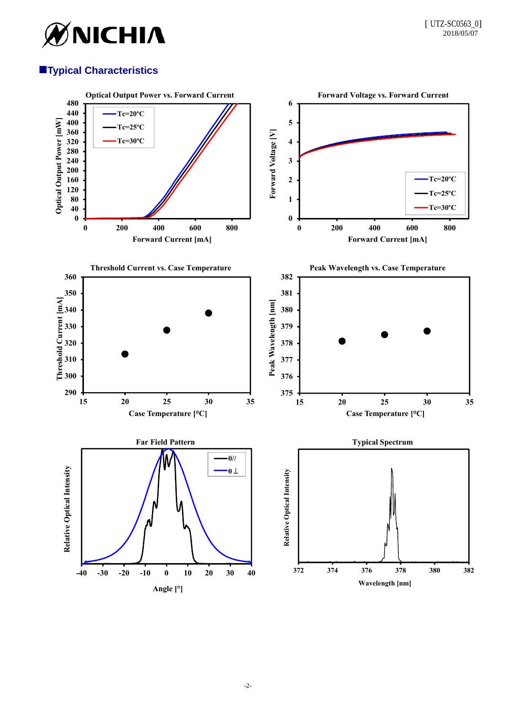

# **Typical Characteristics**